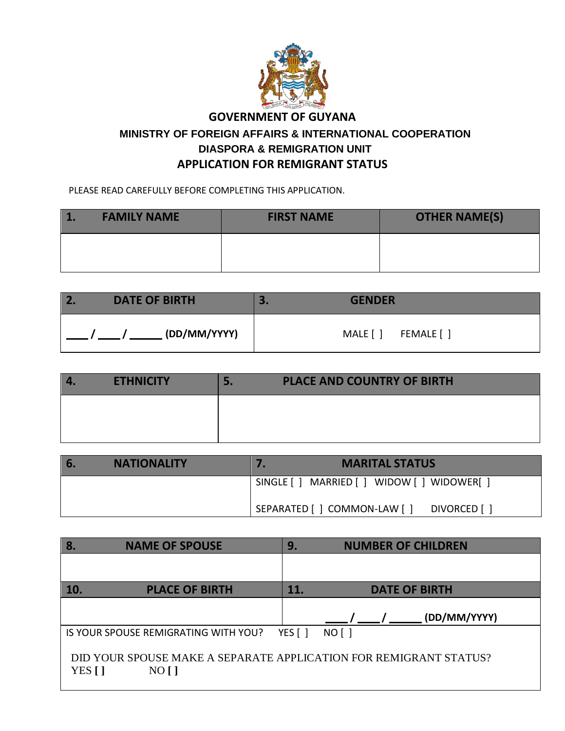

#### **GOVERNMENT OF GUYANA**

### **MINISTRY OF FOREIGN AFFAIRS & INTERNATIONAL COOPERATION DIASPORA & REMIGRATION UNIT APPLICATION FOR REMIGRANT STATUS**

PLEASE READ CAREFULLY BEFORE COMPLETING THIS APPLICATION.

| <b>FAMILY NAME</b> | <b>FIRST NAME</b> | <b>OTHER NAME(S)</b> |
|--------------------|-------------------|----------------------|
|                    |                   |                      |

| $\overline{2}$ .     | <b>GENDER</b>         |
|----------------------|-----------------------|
| <b>DATE OF BIRTH</b> | ÷.                    |
| (DD/MM/YYYY)         | MALE [ ]<br>FEMALE [] |

| $\overline{4}$ | <b>ETHNICITY</b> | <b>PLACE AND COUNTRY OF BIRTH</b> |
|----------------|------------------|-----------------------------------|
|                |                  |                                   |
|                |                  |                                   |

| <b>6.</b> | <b>NATIONALITY</b> | <b>MARITAL STATUS</b>                          |
|-----------|--------------------|------------------------------------------------|
|           |                    | SINGLE [ ] MARRIED [ ] WIDOW [ ] WIDOWER [ ]   |
|           |                    | ' SEPARATED [ ] COMMON-LAW [ ]<br>DIVORCED [ ] |

| 8.                                                                                   | <b>NAME OF SPOUSE</b>                | 9.                  | <b>NUMBER OF CHILDREN</b> |
|--------------------------------------------------------------------------------------|--------------------------------------|---------------------|---------------------------|
|                                                                                      |                                      |                     |                           |
| 10.                                                                                  | <b>PLACE OF BIRTH</b>                | 11.                 | <b>DATE OF BIRTH</b>      |
|                                                                                      |                                      |                     | (DD/MM/YYYY)              |
|                                                                                      | IS YOUR SPOUSE REMIGRATING WITH YOU? | YES $\lceil \rceil$ | $NO[$ ]                   |
| DID YOUR SPOUSE MAKE A SEPARATE APPLICATION FOR REMIGRANT STATUS?<br>YES []<br>NO [] |                                      |                     |                           |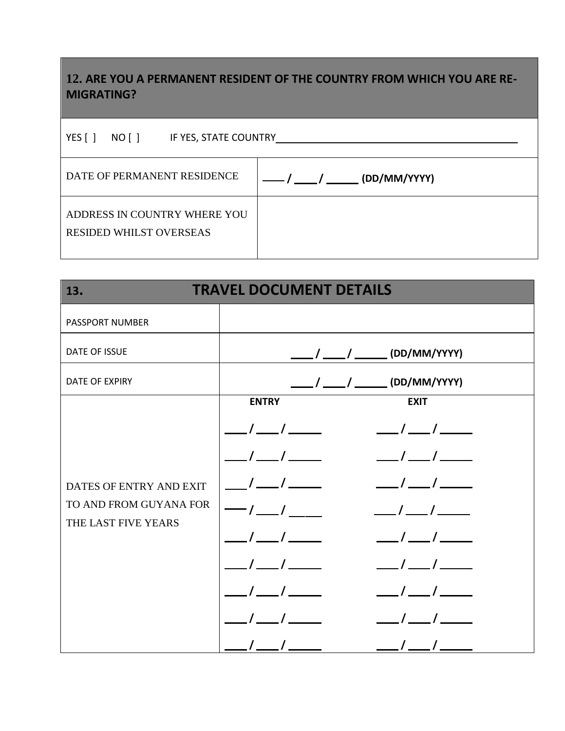## **12. ARE YOU A PERMANENT RESIDENT OF THE COUNTRY FROM WHICH YOU ARE RE-MIGRATING?**

| YES $\lceil \rceil$<br>NO [ ]<br>IF YES, STATE COUNTRY         |                             |  |
|----------------------------------------------------------------|-----------------------------|--|
| DATE OF PERMANENT RESIDENCE                                    | / ___ / ______ (DD/MM/YYYY) |  |
| ADDRESS IN COUNTRY WHERE YOU<br><b>RESIDED WHILST OVERSEAS</b> |                             |  |

| <b>TRAVEL DOCUMENT DETAILS</b><br>13.         |                                    |  |
|-----------------------------------------------|------------------------------------|--|
| PASSPORT NUMBER                               |                                    |  |
| <b>DATE OF ISSUE</b>                          | _____/ _____/ _______ (DD/MM/YYYY) |  |
| <b>DATE OF EXPIRY</b>                         |                                    |  |
|                                               | <b>ENTRY</b><br><b>EXIT</b>        |  |
|                                               | $\sqrt{1}$<br>$\frac{1}{\sqrt{2}}$ |  |
|                                               | $\sqrt{1}$<br>$\frac{1}{\sqrt{2}}$ |  |
| DATES OF ENTRY AND EXIT                       | $\sqrt{1}$                         |  |
| TO AND FROM GUYANA FOR<br>THE LAST FIVE YEARS | $-1$ $1$<br>$\sqrt{1}$             |  |
|                                               | $\sqrt{1}$                         |  |
|                                               | $\sqrt{1}$                         |  |
|                                               |                                    |  |
|                                               |                                    |  |
|                                               | $\sqrt{ }$                         |  |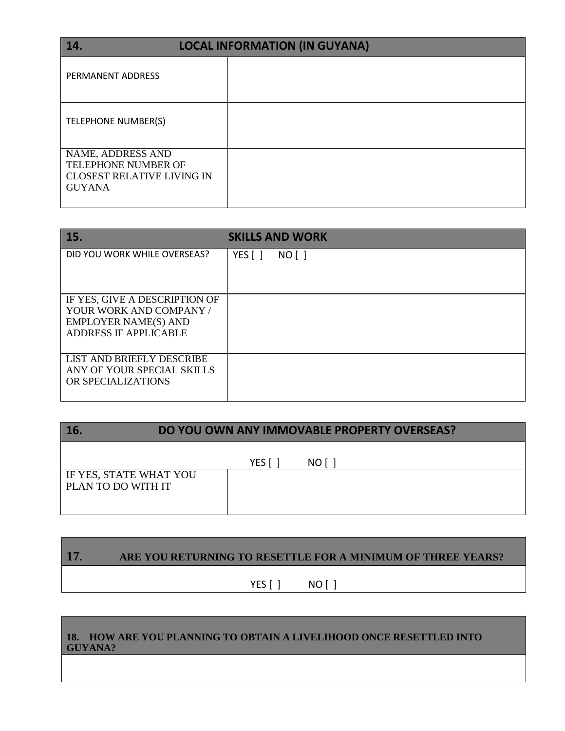| 14.                                                                                            | <b>LOCAL INFORMATION (IN GUYANA)</b> |
|------------------------------------------------------------------------------------------------|--------------------------------------|
| PERMANENT ADDRESS                                                                              |                                      |
| TELEPHONE NUMBER(S)                                                                            |                                      |
| NAME, ADDRESS AND<br>TELEPHONE NUMBER OF<br><b>CLOSEST RELATIVE LIVING IN</b><br><b>GUYANA</b> |                                      |

| 15.                                                                                                              | <b>SKILLS AND WORK</b> |
|------------------------------------------------------------------------------------------------------------------|------------------------|
| DID YOU WORK WHILE OVERSEAS?                                                                                     | YES [ ]<br>NO [ ]      |
| IF YES, GIVE A DESCRIPTION OF<br>YOUR WORK AND COMPANY /<br><b>EMPLOYER NAME(S) AND</b><br>ADDRESS IF APPLICABLE |                        |
| LIST AND BRIEFLY DESCRIBE<br>ANY OF YOUR SPECIAL SKILLS<br>OR SPECIALIZATIONS                                    |                        |

| 16                                                  | DO YOU OWN ANY IMMOVABLE PROPERTY OVERSEAS? |      |  |
|-----------------------------------------------------|---------------------------------------------|------|--|
|                                                     | YES [                                       | NO I |  |
| <b>IF YES, STATE WHAT YOU</b><br>PLAN TO DO WITH IT |                                             |      |  |

# **17. ARE YOU RETURNING TO RESETTLE FOR A MINIMUM OF THREE YEARS?** YES [ ] NO [ ]

#### **18. HOW ARE YOU PLANNING TO OBTAIN A LIVELIHOOD ONCE RESETTLED INTO GUYANA?**